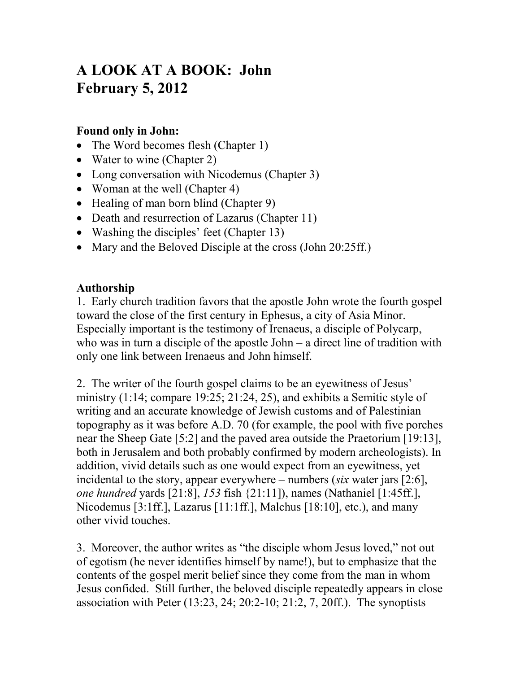# **A LOOK AT A BOOK: John February 5, 2012**

# **Found only in John:**

- The Word becomes flesh (Chapter 1)
- Water to wine (Chapter 2)
- Long conversation with Nicodemus (Chapter 3)
- Woman at the well (Chapter 4)
- Healing of man born blind (Chapter 9)
- Death and resurrection of Lazarus (Chapter 11)
- Washing the disciples' feet (Chapter 13)
- Mary and the Beloved Disciple at the cross (John 20:25ff.)

# **Authorship**

1. Early church tradition favors that the apostle John wrote the fourth gospel toward the close of the first century in Ephesus, a city of Asia Minor. Especially important is the testimony of Irenaeus, a disciple of Polycarp, who was in turn a disciple of the apostle John – a direct line of tradition with only one link between Irenaeus and John himself.

2. The writer of the fourth gospel claims to be an eyewitness of Jesus' ministry (1:14; compare 19:25; 21:24, 25), and exhibits a Semitic style of writing and an accurate knowledge of Jewish customs and of Palestinian topography as it was before A.D. 70 (for example, the pool with five porches near the Sheep Gate [5:2] and the paved area outside the Praetorium [19:13], both in Jerusalem and both probably confirmed by modern archeologists). In addition, vivid details such as one would expect from an eyewitness, yet incidental to the story, appear everywhere – numbers (*six* water jars [2:6], *one hundred* yards [21:8], *153* fish {21:11]), names (Nathaniel [1:45ff.], Nicodemus [3:1ff.], Lazarus [11:1ff.], Malchus [18:10], etc.), and many other vivid touches.

3. Moreover, the author writes as "the disciple whom Jesus loved," not out of egotism (he never identifies himself by name!), but to emphasize that the contents of the gospel merit belief since they come from the man in whom Jesus confided. Still further, the beloved disciple repeatedly appears in close association with Peter (13:23, 24; 20:2-10; 21:2, 7, 20ff.). The synoptists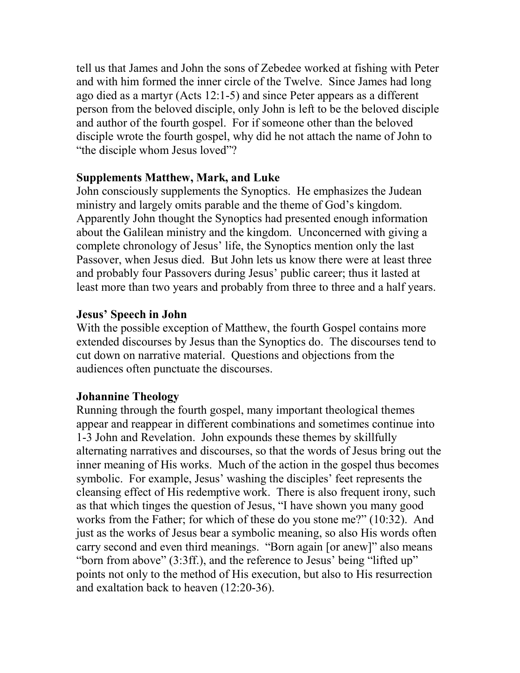tell us that James and John the sons of Zebedee worked at fishing with Peter and with him formed the inner circle of the Twelve. Since James had long ago died as a martyr (Acts 12:1-5) and since Peter appears as a different person from the beloved disciple, only John is left to be the beloved disciple and author of the fourth gospel. For if someone other than the beloved disciple wrote the fourth gospel, why did he not attach the name of John to "the disciple whom Jesus loved"?

#### **Supplements Matthew, Mark, and Luke**

John consciously supplements the Synoptics. He emphasizes the Judean ministry and largely omits parable and the theme of God's kingdom. Apparently John thought the Synoptics had presented enough information about the Galilean ministry and the kingdom. Unconcerned with giving a complete chronology of Jesus' life, the Synoptics mention only the last Passover, when Jesus died. But John lets us know there were at least three and probably four Passovers during Jesus' public career; thus it lasted at least more than two years and probably from three to three and a half years.

## **Jesus' Speech in John**

With the possible exception of Matthew, the fourth Gospel contains more extended discourses by Jesus than the Synoptics do. The discourses tend to cut down on narrative material. Questions and objections from the audiences often punctuate the discourses.

## **Johannine Theology**

Running through the fourth gospel, many important theological themes appear and reappear in different combinations and sometimes continue into 1-3 John and Revelation. John expounds these themes by skillfully alternating narratives and discourses, so that the words of Jesus bring out the inner meaning of His works. Much of the action in the gospel thus becomes symbolic. For example, Jesus' washing the disciples' feet represents the cleansing effect of His redemptive work. There is also frequent irony, such as that which tinges the question of Jesus, "I have shown you many good works from the Father; for which of these do you stone me?" (10:32). And just as the works of Jesus bear a symbolic meaning, so also His words often carry second and even third meanings. "Born again [or anew]" also means "born from above" (3:3ff.), and the reference to Jesus' being "lifted up" points not only to the method of His execution, but also to His resurrection and exaltation back to heaven (12:20-36).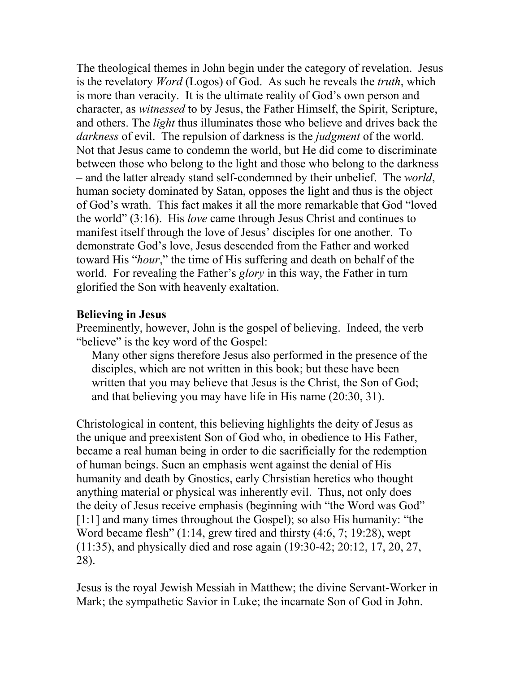The theological themes in John begin under the category of revelation. Jesus is the revelatory *Word* (Logos) of God. As such he reveals the *truth*, which is more than veracity. It is the ultimate reality of God's own person and character, as *witnessed* to by Jesus, the Father Himself, the Spirit, Scripture, and others. The *light* thus illuminates those who believe and drives back the *darkness* of evil. The repulsion of darkness is the *judgment* of the world. Not that Jesus came to condemn the world, but He did come to discriminate between those who belong to the light and those who belong to the darkness – and the latter already stand self-condemned by their unbelief. The *world*, human society dominated by Satan, opposes the light and thus is the object of God's wrath. This fact makes it all the more remarkable that God "loved the world" (3:16). His *love* came through Jesus Christ and continues to manifest itself through the love of Jesus' disciples for one another. To demonstrate God's love, Jesus descended from the Father and worked toward His "*hour*," the time of His suffering and death on behalf of the world. For revealing the Father's *glory* in this way, the Father in turn glorified the Son with heavenly exaltation.

#### **Believing in Jesus**

Preeminently, however, John is the gospel of believing. Indeed, the verb "believe" is the key word of the Gospel:

Many other signs therefore Jesus also performed in the presence of the disciples, which are not written in this book; but these have been written that you may believe that Jesus is the Christ, the Son of God; and that believing you may have life in His name (20:30, 31).

Christological in content, this believing highlights the deity of Jesus as the unique and preexistent Son of God who, in obedience to His Father, became a real human being in order to die sacrificially for the redemption of human beings. Sucn an emphasis went against the denial of His humanity and death by Gnostics, early Chrsistian heretics who thought anything material or physical was inherently evil. Thus, not only does the deity of Jesus receive emphasis (beginning with "the Word was God" [1:1] and many times throughout the Gospel); so also His humanity: "the Word became flesh" (1:14, grew tired and thirsty (4:6, 7; 19:28), wept (11:35), and physically died and rose again (19:30-42; 20:12, 17, 20, 27, 28).

Jesus is the royal Jewish Messiah in Matthew; the divine Servant-Worker in Mark; the sympathetic Savior in Luke; the incarnate Son of God in John.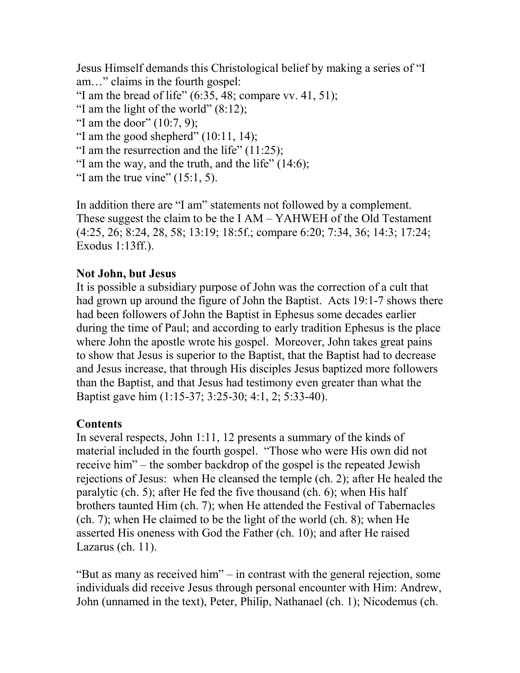Jesus Himself demands this Christological belief by making a series of "I am…" claims in the fourth gospel: "I am the bread of life"  $(6:35, 48;$  compare vv. 41, 51); "I am the light of the world"  $(8:12)$ ; "I am the door"  $(10:7, 9)$ ; "I am the good shepherd"  $(10:11, 14)$ ; "I am the resurrection and the life"  $(11:25)$ ; "I am the way, and the truth, and the life"  $(14:6)$ ; "I am the true vine"  $(15:1, 5)$ .

In addition there are "I am" statements not followed by a complement. These suggest the claim to be the I AM – YAHWEH of the Old Testament (4:25, 26; 8:24, 28, 58; 13:19; 18:5f.; compare 6:20; 7:34, 36; 14:3; 17:24; Exodus 1:13ff.).

#### **Not John, but Jesus**

It is possible a subsidiary purpose of John was the correction of a cult that had grown up around the figure of John the Baptist. Acts 19:1-7 shows there had been followers of John the Baptist in Ephesus some decades earlier during the time of Paul; and according to early tradition Ephesus is the place where John the apostle wrote his gospel. Moreover, John takes great pains to show that Jesus is superior to the Baptist, that the Baptist had to decrease and Jesus increase, that through His disciples Jesus baptized more followers than the Baptist, and that Jesus had testimony even greater than what the Baptist gave him (1:15-37; 3:25-30; 4:1, 2; 5:33-40).

#### **Contents**

In several respects, John 1:11, 12 presents a summary of the kinds of material included in the fourth gospel. "Those who were His own did not receive him" – the somber backdrop of the gospel is the repeated Jewish rejections of Jesus: when He cleansed the temple (ch. 2); after He healed the paralytic (ch. 5); after He fed the five thousand (ch. 6); when His half brothers taunted Him (ch. 7); when He attended the Festival of Tabernacles (ch. 7); when He claimed to be the light of the world (ch. 8); when He asserted His oneness with God the Father (ch. 10); and after He raised Lazarus (ch. 11).

"But as many as received him" – in contrast with the general rejection, some individuals did receive Jesus through personal encounter with Him: Andrew, John (unnamed in the text), Peter, Philip, Nathanael (ch. 1); Nicodemus (ch.